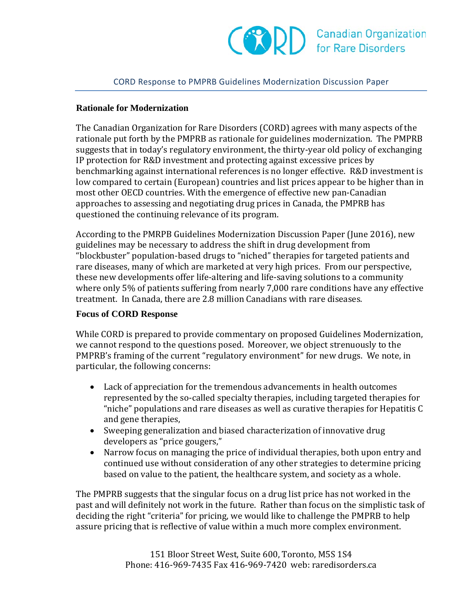## CORD Response to PMPRB Guidelines Modernization Discussion Paper

## **Rationale for Modernization**

The Canadian Organization for Rare Disorders (CORD) agrees with many aspects of the rationale put forth by the PMPRB as rationale for guidelines modernization. The PMPRB suggests that in today's regulatory environment, the thirty-year old policy of exchanging IP protection for R&D investment and protecting against excessive prices by benchmarking against international references is no longer effective. R&D investment is low compared to certain (European) countries and list prices appear to be higher than in most other OECD countries. With the emergence of effective new pan-Canadian approaches to assessing and negotiating drug prices in Canada, the PMPRB has questioned the continuing relevance of its program.

According to the PMRPB Guidelines Modernization Discussion Paper (June 2016), new guidelines may be necessary to address the shift in drug development from "blockbuster" population-based drugs to "niched" therapies for targeted patients and rare diseases, many of which are marketed at very high prices. From our perspective, these new developments offer life-altering and life-saving solutions to a community where only 5% of patients suffering from nearly 7,000 rare conditions have any effective treatment. In Canada, there are 2.8 million Canadians with rare diseases.

## **Focus of CORD Response**

While CORD is prepared to provide commentary on proposed Guidelines Modernization, we cannot respond to the questions posed. Moreover, we object strenuously to the PMPRB's framing of the current "regulatory environment" for new drugs. We note, in particular, the following concerns:

- Lack of appreciation for the tremendous advancements in health outcomes represented by the so-called specialty therapies, including targeted therapies for "niche" populations and rare diseases as well as curative therapies for Hepatitis C and gene therapies,
- Sweeping generalization and biased characterization of innovative drug developers as "price gougers,"
- Narrow focus on managing the price of individual therapies, both upon entry and continued use without consideration of any other strategies to determine pricing based on value to the patient, the healthcare system, and society as a whole.

The PMPRB suggests that the singular focus on a drug list price has not worked in the past and will definitely not work in the future. Rather than focus on the simplistic task of deciding the right "criteria" for pricing, we would like to challenge the PMPRB to help assure pricing that is reflective of value within a much more complex environment.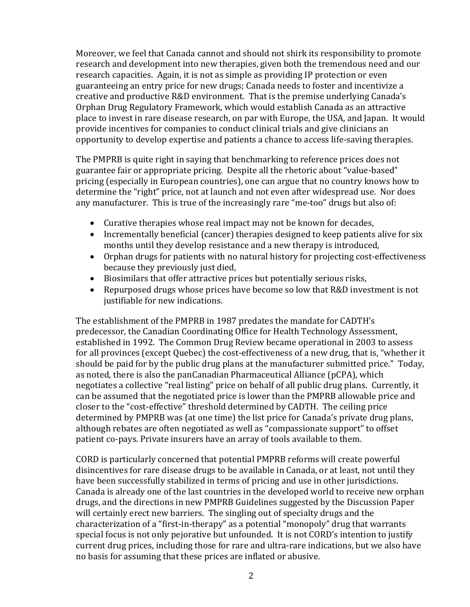Moreover, we feel that Canada cannot and should not shirk its responsibility to promote research and development into new therapies, given both the tremendous need and our research capacities. Again, it is not as simple as providing IP protection or even guaranteeing an entry price for new drugs; Canada needs to foster and incentivize a creative and productive R&D environment. That is the premise underlying Canada's Orphan Drug Regulatory Framework, which would establish Canada as an attractive place to invest in rare disease research, on par with Europe, the USA, and Japan. It would provide incentives for companies to conduct clinical trials and give clinicians an opportunity to develop expertise and patients a chance to access life-saving therapies.

The PMPRB is quite right in saying that benchmarking to reference prices does not guarantee fair or appropriate pricing. Despite all the rhetoric about "value-based" pricing (especially in European countries), one can argue that no country knows how to determine the "right" price, not at launch and not even after widespread use. Nor does any manufacturer. This is true of the increasingly rare "me-too" drugs but also of:

- Curative therapies whose real impact may not be known for decades,
- Incrementally beneficial (cancer) therapies designed to keep patients alive for six months until they develop resistance and a new therapy is introduced,
- Orphan drugs for patients with no natural history for projecting cost-effectiveness because they previously just died,
- Biosimilars that offer attractive prices but potentially serious risks,
- Repurposed drugs whose prices have become so low that R&D investment is not justifiable for new indications.

The establishment of the PMPRB in 1987 predates the mandate for CADTH's predecessor, the Canadian Coordinating Office for Health Technology Assessment, established in 1992. The Common Drug Review became operational in 2003 to assess for all provinces (except Quebec) the cost-effectiveness of a new drug, that is, "whether it should be paid for by the public drug plans at the manufacturer submitted price." Today, as noted, there is also the panCanadian Pharmaceutical Alliance (pCPA), which negotiates a collective "real listing" price on behalf of all public drug plans. Currently, it can be assumed that the negotiated price is lower than the PMPRB allowable price and closer to the "cost-effective" threshold determined by CADTH. The ceiling price determined by PMPRB was (at one time) the list price for Canada's private drug plans, although rebates are often negotiated as well as "compassionate support" to offset patient co-pays. Private insurers have an array of tools available to them.

CORD is particularly concerned that potential PMPRB reforms will create powerful disincentives for rare disease drugs to be available in Canada, or at least, not until they have been successfully stabilized in terms of pricing and use in other jurisdictions. Canada is already one of the last countries in the developed world to receive new orphan drugs, and the directions in new PMPRB Guidelines suggested by the Discussion Paper will certainly erect new barriers. The singling out of specialty drugs and the characterization of a "first-in-therapy" as a potential "monopoly" drug that warrants special focus is not only pejorative but unfounded. It is not CORD's intention to justify current drug prices, including those for rare and ultra-rare indications, but we also have no basis for assuming that these prices are inflated or abusive.